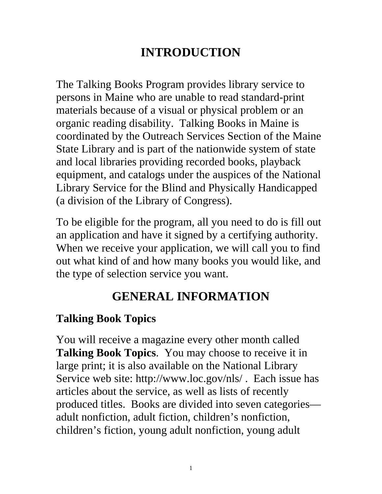# **INTRODUCTION**

The Talking Books Program provides library service to persons in Maine who are unable to read standard-print materials because of a visual or physical problem or an organic reading disability. Talking Books in Maine is coordinated by the Outreach Services Section of the Maine State Library and is part of the nationwide system of state and local libraries providing recorded books, playback equipment, and catalogs under the auspices of the National Library Service for the Blind and Physically Handicapped (a division of the Library of Congress).

To be eligible for the program, all you need to do is fill out an application and have it signed by a certifying authority. When we receive your application, we will call you to find out what kind of and how many books you would like, and the type of selection service you want.

# **GENERAL INFORMATION**

#### **Talking Book Topics**

You will receive a magazine every other month called **Talking Book Topics**. You may choose to receive it in large print; it is also available on the National Library Service web site: http://www.loc.gov/nls/ . Each issue has articles about the service, as well as lists of recently produced titles. Books are divided into seven categories adult nonfiction, adult fiction, children's nonfiction, children's fiction, young adult nonfiction, young adult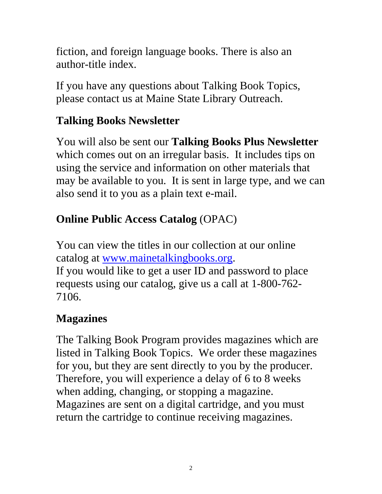fiction, and foreign language books. There is also an author-title index.

If you have any questions about Talking Book Topics, please contact us at Maine State Library Outreach.

## **Talking Books Newsletter**

You will also be sent our **Talking Books Plus Newsletter** which comes out on an irregular basis. It includes tips on using the service and information on other materials that may be available to you. It is sent in large type, and we can also send it to you as a plain text e-mail.

## **Online Public Access Catalog** (OPAC)

You can view the titles in our collection at our online catalog at [www.mainetalkingbooks.org.](http://www.mainetalkingbooks.org/) If you would like to get a user ID and password to place requests using our catalog, give us a call at 1-800-762- 7106.

## **Magazines**

The Talking Book Program provides magazines which are listed in Talking Book Topics. We order these magazines for you, but they are sent directly to you by the producer. Therefore, you will experience a delay of 6 to 8 weeks when adding, changing, or stopping a magazine. Magazines are sent on a digital cartridge, and you must return the cartridge to continue receiving magazines.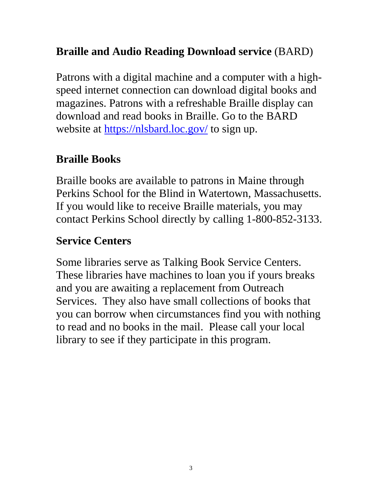## **Braille and Audio Reading Download service** (BARD)

Patrons with a digital machine and a computer with a highspeed internet connection can download digital books and magazines. Patrons with a refreshable Braille display can download and read books in Braille. Go to the BARD website at<https://nlsbard.loc.gov/> to sign up.

#### **Braille Books**

Braille books are available to patrons in Maine through Perkins School for the Blind in Watertown, Massachusetts. If you would like to receive Braille materials, you may contact Perkins School directly by calling 1-800-852-3133.

#### **Service Centers**

Some libraries serve as Talking Book Service Centers. These libraries have machines to loan you if yours breaks and you are awaiting a replacement from Outreach Services. They also have small collections of books that you can borrow when circumstances find you with nothing to read and no books in the mail. Please call your local library to see if they participate in this program.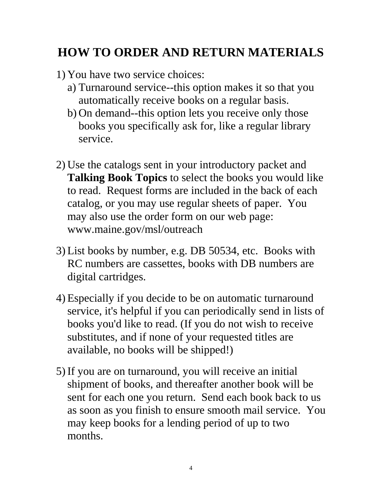## **HOW TO ORDER AND RETURN MATERIALS**

- 1) You have two service choices:
	- a) Turnaround service--this option makes it so that you automatically receive books on a regular basis.
	- b) On demand--this option lets you receive only those books you specifically ask for, like a regular library service.
- 2) Use the catalogs sent in your introductory packet and **Talking Book Topics** to select the books you would like to read. Request forms are included in the back of each catalog, or you may use regular sheets of paper. You may also use the order form on our web page: www.maine.gov/msl/outreach
- 3) List books by number, e.g. DB 50534, etc. Books with RC numbers are cassettes, books with DB numbers are digital cartridges.
- 4) Especially if you decide to be on automatic turnaround service, it's helpful if you can periodically send in lists of books you'd like to read. (If you do not wish to receive substitutes, and if none of your requested titles are available, no books will be shipped!)
- 5) If you are on turnaround, you will receive an initial shipment of books, and thereafter another book will be sent for each one you return. Send each book back to us as soon as you finish to ensure smooth mail service. You may keep books for a lending period of up to two months.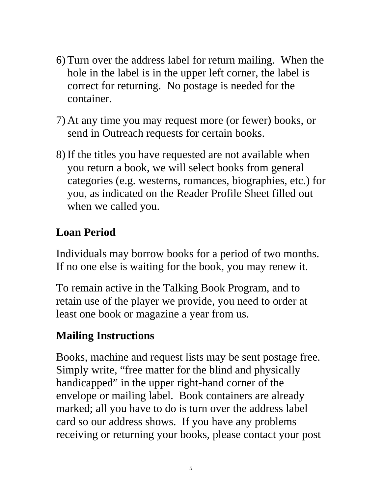- 6) Turn over the address label for return mailing. When the hole in the label is in the upper left corner, the label is correct for returning. No postage is needed for the container.
- 7) At any time you may request more (or fewer) books, or send in Outreach requests for certain books.
- 8) If the titles you have requested are not available when you return a book, we will select books from general categories (e.g. westerns, romances, biographies, etc.) for you, as indicated on the Reader Profile Sheet filled out when we called you.

## **Loan Period**

Individuals may borrow books for a period of two months. If no one else is waiting for the book, you may renew it.

To remain active in the Talking Book Program, and to retain use of the player we provide, you need to order at least one book or magazine a year from us.

## **Mailing Instructions**

Books, machine and request lists may be sent postage free. Simply write, "free matter for the blind and physically handicapped" in the upper right-hand corner of the envelope or mailing label. Book containers are already marked; all you have to do is turn over the address label card so our address shows. If you have any problems receiving or returning your books, please contact your post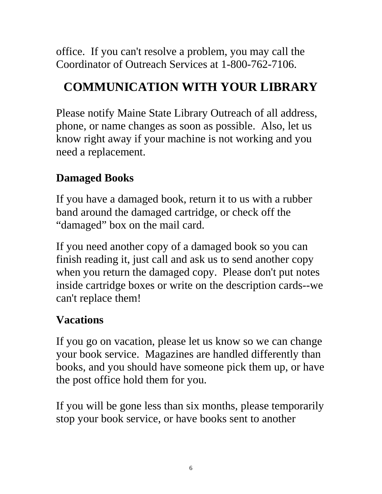office. If you can't resolve a problem, you may call the Coordinator of Outreach Services at 1-800-762-7106.

# **COMMUNICATION WITH YOUR LIBRARY**

Please notify Maine State Library Outreach of all address, phone, or name changes as soon as possible. Also, let us know right away if your machine is not working and you need a replacement.

## **Damaged Books**

If you have a damaged book, return it to us with a rubber band around the damaged cartridge, or check off the "damaged" box on the mail card.

If you need another copy of a damaged book so you can finish reading it, just call and ask us to send another copy when you return the damaged copy. Please don't put notes inside cartridge boxes or write on the description cards--we can't replace them!

## **Vacations**

If you go on vacation, please let us know so we can change your book service. Magazines are handled differently than books, and you should have someone pick them up, or have the post office hold them for you.

If you will be gone less than six months, please temporarily stop your book service, or have books sent to another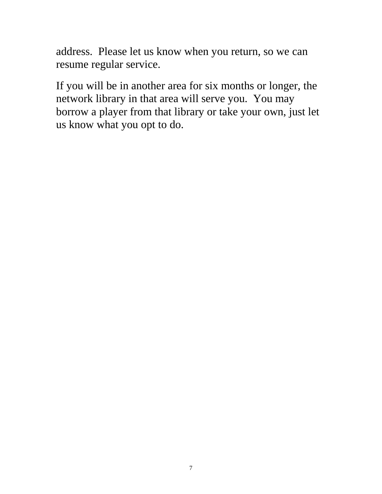address. Please let us know when you return, so we can resume regular service.

If you will be in another area for six months or longer, the network library in that area will serve you. You may borrow a player from that library or take your own, just let us know what you opt to do.